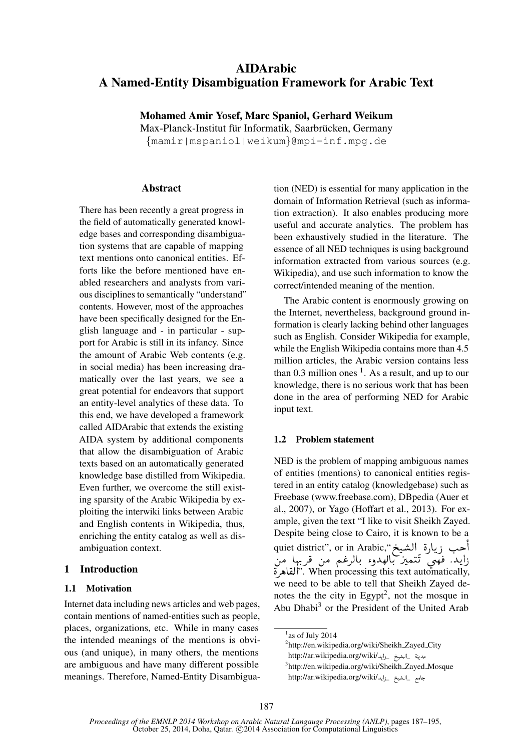# AIDArabic A Named-Entity Disambiguation Framework for Arabic Text

Mohamed Amir Yosef, Marc Spaniol, Gerhard Weikum

Max-Planck-Institut für Informatik, Saarbrücken, Germany {mamir|mspaniol|weikum}@mpi-inf.mpg.de

#### Abstract

There has been recently a great progress in the field of automatically generated knowledge bases and corresponding disambiguation systems that are capable of mapping text mentions onto canonical entities. Efforts like the before mentioned have enabled researchers and analysts from various disciplines to semantically "understand" contents. However, most of the approaches have been specifically designed for the English language and - in particular - support for Arabic is still in its infancy. Since the amount of Arabic Web contents (e.g. in social media) has been increasing dramatically over the last years, we see a great potential for endeavors that support an entity-level analytics of these data. To this end, we have developed a framework called AIDArabic that extends the existing AIDA system by additional components that allow the disambiguation of Arabic texts based on an automatically generated knowledge base distilled from Wikipedia. Even further, we overcome the still existing sparsity of the Arabic Wikipedia by exploiting the interwiki links between Arabic and English contents in Wikipedia, thus, enriching the entity catalog as well as disambiguation context.

# 1 Introduction

## 1.1 Motivation

Internet data including news articles and web pages, contain mentions of named-entities such as people, places, organizations, etc. While in many cases the intended meanings of the mentions is obvious (and unique), in many others, the mentions are ambiguous and have many different possible meanings. Therefore, Named-Entity Disambigua-

tion (NED) is essential for many application in the domain of Information Retrieval (such as information extraction). It also enables producing more useful and accurate analytics. The problem has been exhaustively studied in the literature. The essence of all NED techniques is using background information extracted from various sources (e.g. Wikipedia), and use such information to know the correct/intended meaning of the mention.

The Arabic content is enormously growing on the Internet, nevertheless, background ground information is clearly lacking behind other languages such as English. Consider Wikipedia for example, while the English Wikipedia contains more than 4.5 million articles, the Arabic version contains less than  $0.3$  million ones  $1$ . As a result, and up to our knowledge, there is no serious work that has been done in the area of performing NED for Arabic input text.

## 1.2 Problem statement

NED is the problem of mapping ambiguous names of entities (mentions) to canonical entities registered in an entity catalog (knowledgebase) such as Freebase (www.freebase.com), DBpedia (Auer et al., 2007), or Yago (Hoffart et al., 2013). For example, given the text "I like to visit Sheikh Zayed. Despite being close to Cairo, it is known to be a : Despite being close to Cairo, it is known to be<br>حب زيارة الشيخ",or in Arabic حب زيارة الشيخ ر<br>بہ d<br>S @ احب زيارة الشيخ".quiet district", or in Arabic<br>زايد. فهي تّتميز بالهدوء بالرغم من قربها من t<br>..  $\overline{a}$ . . ń ا<br>. J l.  $\ddot{\cdot}$  $\overline{\phantom{a}}$  $\frac{1}{2}$ ر<br>پ @  $\ddot{\cdot}$ من<br>قاھ ة ®Ë@". When processing this text automatically, we need to be able to tell that Sheikh Zayed denotes the the city in Egypt<sup>2</sup>, not the mosque in Abu Dhabi<sup>3</sup> or the President of the United Arab

<sup>2</sup>http://en.wikipedia.org/wiki/Sheikh\_Zayed\_City سدينة \_الشيخ \_زايد/http://ar.wikipedia.org/wiki į @  $\overline{\phantom{a}}$ l į 3 http://en.wikipedia.org/wiki/Sheikh Zayed Mosque مامع \_الشيخ \_زايد/http://ar.wikipedia.org/wiki į @

<sup>&</sup>lt;sup>1</sup> as of July 2014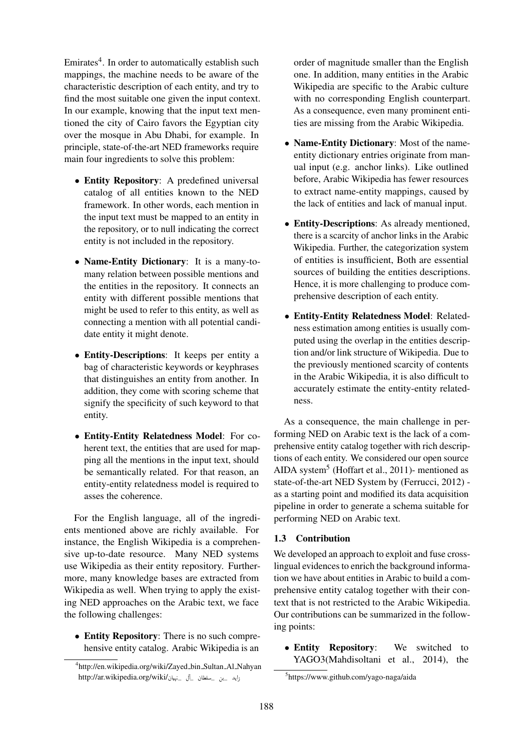Emirates<sup>4</sup>. In order to automatically establish such mappings, the machine needs to be aware of the characteristic description of each entity, and try to find the most suitable one given the input context. In our example, knowing that the input text mentioned the city of Cairo favors the Egyptian city over the mosque in Abu Dhabi, for example. In principle, state-of-the-art NED frameworks require main four ingredients to solve this problem:

- Entity Repository: A predefined universal catalog of all entities known to the NED framework. In other words, each mention in the input text must be mapped to an entity in the repository, or to null indicating the correct entity is not included in the repository.
- Name-Entity Dictionary: It is a many-tomany relation between possible mentions and the entities in the repository. It connects an entity with different possible mentions that might be used to refer to this entity, as well as connecting a mention with all potential candidate entity it might denote.
- Entity-Descriptions: It keeps per entity a bag of characteristic keywords or keyphrases that distinguishes an entity from another. In addition, they come with scoring scheme that signify the specificity of such keyword to that entity.
- Entity-Entity Relatedness Model: For coherent text, the entities that are used for mapping all the mentions in the input text, should be semantically related. For that reason, an entity-entity relatedness model is required to asses the coherence.

For the English language, all of the ingredients mentioned above are richly available. For instance, the English Wikipedia is a comprehensive up-to-date resource. Many NED systems use Wikipedia as their entity repository. Furthermore, many knowledge bases are extracted from Wikipedia as well. When trying to apply the existing NED approaches on the Arabic text, we face the following challenges:

• Entity Repository: There is no such comprehensive entity catalog. Arabic Wikipedia is an

order of magnitude smaller than the English one. In addition, many entities in the Arabic Wikipedia are specific to the Arabic culture with no corresponding English counterpart. As a consequence, even many prominent entities are missing from the Arabic Wikipedia.

- Name-Entity Dictionary: Most of the nameentity dictionary entries originate from manual input (e.g. anchor links). Like outlined before, Arabic Wikipedia has fewer resources to extract name-entity mappings, caused by the lack of entities and lack of manual input.
- Entity-Descriptions: As already mentioned, there is a scarcity of anchor links in the Arabic Wikipedia. Further, the categorization system of entities is insufficient, Both are essential sources of building the entities descriptions. Hence, it is more challenging to produce comprehensive description of each entity.
- Entity-Entity Relatedness Model: Relatedness estimation among entities is usually computed using the overlap in the entities description and/or link structure of Wikipedia. Due to the previously mentioned scarcity of contents in the Arabic Wikipedia, it is also difficult to accurately estimate the entity-entity relatedness.

As a consequence, the main challenge in performing NED on Arabic text is the lack of a comprehensive entity catalog together with rich descriptions of each entity. We considered our open source AIDA system<sup>5</sup> (Hoffart et al., 2011)- mentioned as state-of-the-art NED System by (Ferrucci, 2012) as a starting point and modified its data acquisition pipeline in order to generate a schema suitable for performing NED on Arabic text.

## 1.3 Contribution

We developed an approach to exploit and fuse crosslingual evidences to enrich the background information we have about entities in Arabic to build a comprehensive entity catalog together with their context that is not restricted to the Arabic Wikipedia. Our contributions can be summarized in the following points:

• Entity Repository: We switched to YAGO3(Mahdisoltani et al., 2014), the

<sup>4</sup> http://en.wikipedia.org/wiki/Zayed bin Sultan Al Nahyan - - - - بن \_سلطان \_آل \_نهيان/http://ar.wikipedia.org/wiki ֦֧ .<br>. j Į @

<sup>5</sup> https://www.github.com/yago-naga/aida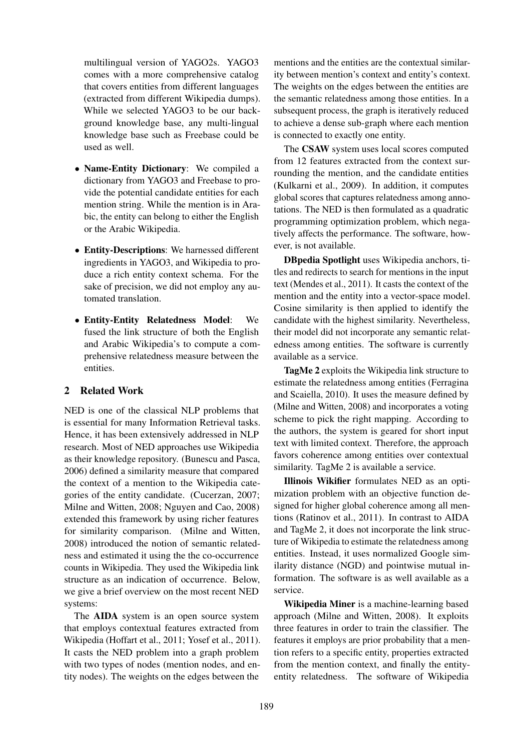multilingual version of YAGO2s. YAGO3 comes with a more comprehensive catalog that covers entities from different languages (extracted from different Wikipedia dumps). While we selected YAGO3 to be our background knowledge base, any multi-lingual knowledge base such as Freebase could be used as well.

- Name-Entity Dictionary: We compiled a dictionary from YAGO3 and Freebase to provide the potential candidate entities for each mention string. While the mention is in Arabic, the entity can belong to either the English or the Arabic Wikipedia.
- Entity-Descriptions: We harnessed different ingredients in YAGO3, and Wikipedia to produce a rich entity context schema. For the sake of precision, we did not employ any automated translation.
- Entity-Entity Relatedness Model: We fused the link structure of both the English and Arabic Wikipedia's to compute a comprehensive relatedness measure between the entities.

## 2 Related Work

NED is one of the classical NLP problems that is essential for many Information Retrieval tasks. Hence, it has been extensively addressed in NLP research. Most of NED approaches use Wikipedia as their knowledge repository. (Bunescu and Pasca, 2006) defined a similarity measure that compared the context of a mention to the Wikipedia categories of the entity candidate. (Cucerzan, 2007; Milne and Witten, 2008; Nguyen and Cao, 2008) extended this framework by using richer features for similarity comparison. (Milne and Witten, 2008) introduced the notion of semantic relatedness and estimated it using the the co-occurrence counts in Wikipedia. They used the Wikipedia link structure as an indication of occurrence. Below, we give a brief overview on the most recent NED systems:

The AIDA system is an open source system that employs contextual features extracted from Wikipedia (Hoffart et al., 2011; Yosef et al., 2011). It casts the NED problem into a graph problem with two types of nodes (mention nodes, and entity nodes). The weights on the edges between the

mentions and the entities are the contextual similarity between mention's context and entity's context. The weights on the edges between the entities are the semantic relatedness among those entities. In a subsequent process, the graph is iteratively reduced to achieve a dense sub-graph where each mention is connected to exactly one entity.

The CSAW system uses local scores computed from 12 features extracted from the context surrounding the mention, and the candidate entities (Kulkarni et al., 2009). In addition, it computes global scores that captures relatedness among annotations. The NED is then formulated as a quadratic programming optimization problem, which negatively affects the performance. The software, however, is not available.

DBpedia Spotlight uses Wikipedia anchors, titles and redirects to search for mentions in the input text (Mendes et al., 2011). It casts the context of the mention and the entity into a vector-space model. Cosine similarity is then applied to identify the candidate with the highest similarity. Nevertheless, their model did not incorporate any semantic relatedness among entities. The software is currently available as a service.

TagMe 2 exploits the Wikipedia link structure to estimate the relatedness among entities (Ferragina and Scaiella, 2010). It uses the measure defined by (Milne and Witten, 2008) and incorporates a voting scheme to pick the right mapping. According to the authors, the system is geared for short input text with limited context. Therefore, the approach favors coherence among entities over contextual similarity. TagMe 2 is available a service.

Illinois Wikifier formulates NED as an optimization problem with an objective function designed for higher global coherence among all mentions (Ratinov et al., 2011). In contrast to AIDA and TagMe 2, it does not incorporate the link structure of Wikipedia to estimate the relatedness among entities. Instead, it uses normalized Google similarity distance (NGD) and pointwise mutual information. The software is as well available as a service.

Wikipedia Miner is a machine-learning based approach (Milne and Witten, 2008). It exploits three features in order to train the classifier. The features it employs are prior probability that a mention refers to a specific entity, properties extracted from the mention context, and finally the entityentity relatedness. The software of Wikipedia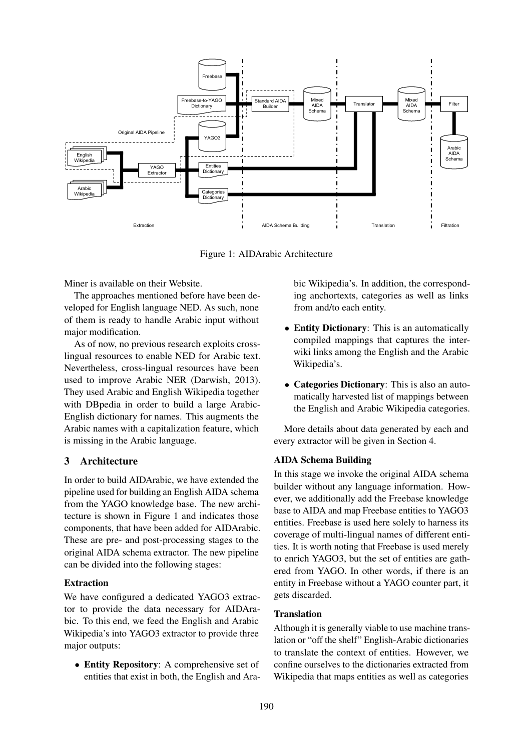

Figure 1: AIDArabic Architecture

Miner is available on their Website.

The approaches mentioned before have been developed for English language NED. As such, none of them is ready to handle Arabic input without major modification.

As of now, no previous research exploits crosslingual resources to enable NED for Arabic text. Nevertheless, cross-lingual resources have been used to improve Arabic NER (Darwish, 2013). They used Arabic and English Wikipedia together with DBpedia in order to build a large Arabic-English dictionary for names. This augments the Arabic names with a capitalization feature, which is missing in the Arabic language.

## 3 Architecture

In order to build AIDArabic, we have extended the pipeline used for building an English AIDA schema from the YAGO knowledge base. The new architecture is shown in Figure 1 and indicates those components, that have been added for AIDArabic. These are pre- and post-processing stages to the original AIDA schema extractor. The new pipeline can be divided into the following stages:

#### Extraction

We have configured a dedicated YAGO3 extractor to provide the data necessary for AIDArabic. To this end, we feed the English and Arabic Wikipedia's into YAGO3 extractor to provide three major outputs:

• Entity Repository: A comprehensive set of entities that exist in both, the English and Arabic Wikipedia's. In addition, the corresponding anchortexts, categories as well as links from and/to each entity.

- Entity Dictionary: This is an automatically compiled mappings that captures the interwiki links among the English and the Arabic Wikipedia's.
- Categories Dictionary: This is also an automatically harvested list of mappings between the English and Arabic Wikipedia categories.

More details about data generated by each and every extractor will be given in Section 4.

#### AIDA Schema Building

In this stage we invoke the original AIDA schema builder without any language information. However, we additionally add the Freebase knowledge base to AIDA and map Freebase entities to YAGO3 entities. Freebase is used here solely to harness its coverage of multi-lingual names of different entities. It is worth noting that Freebase is used merely to enrich YAGO3, but the set of entities are gathered from YAGO. In other words, if there is an entity in Freebase without a YAGO counter part, it gets discarded.

#### **Translation**

Although it is generally viable to use machine translation or "off the shelf" English-Arabic dictionaries to translate the context of entities. However, we confine ourselves to the dictionaries extracted from Wikipedia that maps entities as well as categories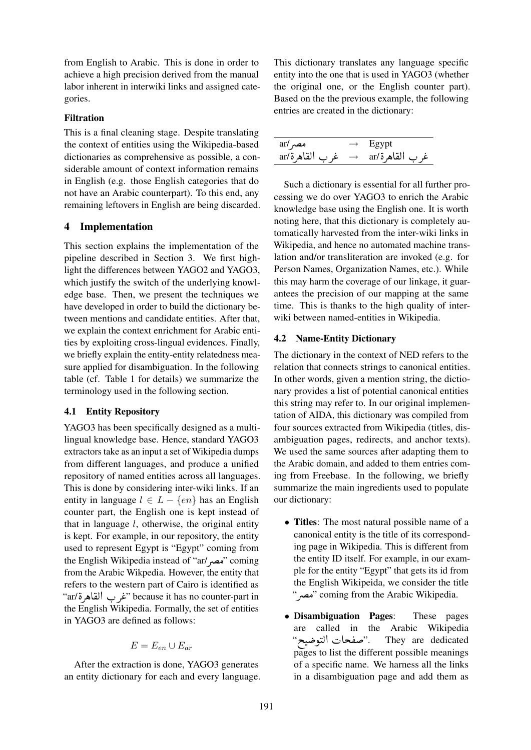from English to Arabic. This is done in order to achieve a high precision derived from the manual labor inherent in interwiki links and assigned categories.

#### Filtration

This is a final cleaning stage. Despite translating the context of entities using the Wikipedia-based dictionaries as comprehensive as possible, a considerable amount of context information remains in English (e.g. those English categories that do not have an Arabic counterpart). To this end, any remaining leftovers in English are being discarded.

## 4 Implementation

This section explains the implementation of the pipeline described in Section 3. We first highlight the differences between YAGO2 and YAGO3, which justify the switch of the underlying knowledge base. Then, we present the techniques we have developed in order to build the dictionary between mentions and candidate entities. After that, we explain the context enrichment for Arabic entities by exploiting cross-lingual evidences. Finally, we briefly explain the entity-entity relatedness measure applied for disambiguation. In the following table (cf. Table 1 for details) we summarize the terminology used in the following section.

## 4.1 Entity Repository

YAGO3 has been specifically designed as a multilingual knowledge base. Hence, standard YAGO3 extractors take as an input a set of Wikipedia dumps from different languages, and produce a unified repository of named entities across all languages. This is done by considering inter-wiki links. If an entity in language  $l \in L - \{en\}$  has an English counter part, the English one is kept instead of that in language  $l$ , otherwise, the original entity is kept. For example, in our repository, the entity used to represent Egypt is "Egypt" coming from the English Wikipedia instead of "ar/مصر" coming from the Arabic Wikpedia. However, the entity that refers to the western part of Cairo is identified as<br>"iar/قال القاهة" because it has no counter-part in refers to the western part of Cairo is identified as "غرب القاهرة/ar" نغرب القاهرة ֧֦֧֪֪֪֪֦֪֪֪֪֪֪֪֪֪֚֚֚֚֚֞֝֝֝֝֝֝֝֝֝֝֝֬֝֝֝֝֝֝֝֝֝ the English Wikipedia. Formally, the set of entities in YAGO3 are defined as follows:

$$
E = E_{en} \cup E_{ar}
$$

After the extraction is done, YAGO3 generates an entity dictionary for each and every language. This dictionary translates any language specific entity into the one that is used in YAGO3 (whether the original one, or the English counter part). Based on the the previous example, the following entries are created in the dictionary:

| مصر ar/        | $\rightarrow$ Egypt |
|----------------|---------------------|
| غرب القاهرة/ar | غر ب القاهرة/ar     |

Such a dictionary is essential for all further processing we do over YAGO3 to enrich the Arabic knowledge base using the English one. It is worth noting here, that this dictionary is completely automatically harvested from the inter-wiki links in Wikipedia, and hence no automated machine translation and/or transliteration are invoked (e.g. for Person Names, Organization Names, etc.). While this may harm the coverage of our linkage, it guarantees the precision of our mapping at the same time. This is thanks to the high quality of interwiki between named-entities in Wikipedia.

## 4.2 Name-Entity Dictionary

The dictionary in the context of NED refers to the relation that connects strings to canonical entities. In other words, given a mention string, the dictionary provides a list of potential canonical entities this string may refer to. In our original implementation of AIDA, this dictionary was compiled from four sources extracted from Wikipedia (titles, disambiguation pages, redirects, and anchor texts). We used the same sources after adapting them to the Arabic domain, and added to them entries coming from Freebase. In the following, we briefly summarize the main ingredients used to populate our dictionary:

- Titles: The most natural possible name of a canonical entity is the title of its corresponding page in Wikipedia. This is different from the entity ID itself. For example, in our example for the entity "Egypt" that gets its id from the English Wikipeida, we consider the title "مصم" coming from the Arabic Wikipedia.
- Disambiguation Pages: These pages are called in the Arabic Wikipedia : are called<br>حات التوضيح"  $\ddot{\cdot}$  $\frac{1}{2}$ They are dedicated pages to list the different possible meanings of a specific name. We harness all the links in a disambiguation page and add them as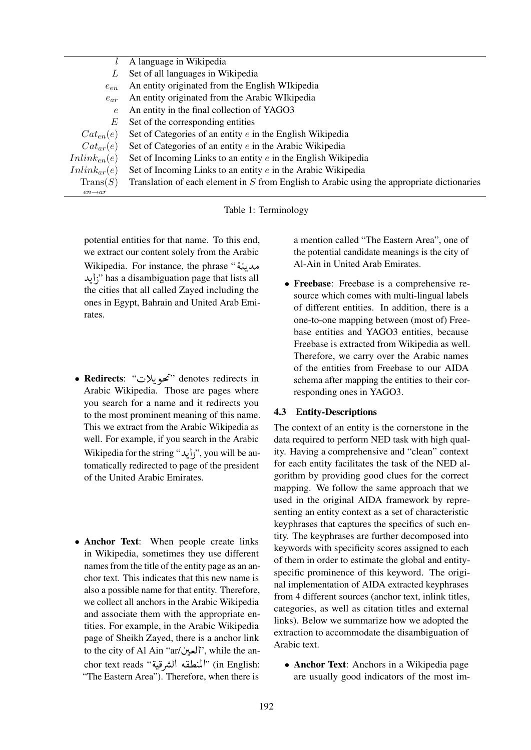|                     | A language in Wikipedia                                                                      |
|---------------------|----------------------------------------------------------------------------------------------|
| L                   | Set of all languages in Wikipedia                                                            |
| $e_{en}$            | An entity originated from the English WIkipedia                                              |
| $e_{ar}$            | An entity originated from the Arabic WIkipedia                                               |
| $\epsilon$          | An entity in the final collection of YAGO3                                                   |
| E                   | Set of the corresponding entities                                                            |
| $Cat_{en}(e)$       | Set of Categories of an entity $e$ in the English Wikipedia                                  |
| $Cat_{ar}(e)$       | Set of Categories of an entity $e$ in the Arabic Wikipedia                                   |
| $Inlink_{en}(e)$    | Set of Incoming Links to an entity $e$ in the English Wikipedia                              |
| $Inlink_{ar}(e)$    | Set of Incoming Links to an entity e in the Arabic Wikipedia                                 |
| $\text{Trans}(S)$   | Translation of each element in $S$ from English to Arabic using the appropriate dictionaries |
| $en \rightarrow ar$ |                                                                                              |

Table 1: Terminology

potential entities for that name. To this end, we extract our content solely from the Arabic we extract our content solely from the Arabic<br>مدینة " Wikipedia. For instance, the phrase .<br>. ر<br>پ مدينه " Wikipedia. For instance, the phrase<br>("زايد;" has a disambiguation page that lists all ِّ @ the cities that all called Zayed including the ones in Egypt, Bahrain and United Arab Emirates.

- Redirects: "تحويلات" :Redirects " <u>ر</u> l. Arabic Wikipedia. Those are pages where you search for a name and it redirects you to the most prominent meaning of this name. This we extract from the Arabic Wikipedia as well. For example, if you search in the Arabic wcn. For example, if you search in the Arabic<br>Wikipedia for the string "id", you will be au-ر<br>پ @ tomatically redirected to page of the president of the United Arabic Emirates.
- Anchor Text: When people create links in Wikipedia, sometimes they use different names from the title of the entity page as an anchor text. This indicates that this new name is also a possible name for that entity. Therefore, we collect all anchors in the Arabic Wikipedia and associate them with the appropriate entities. For example, in the Arabic Wikipedia page of Sheikh Zayed, there is a anchor link page of Sheikh Zayed, there is a anchor link<br>to the city of Al Ain "ar/شعین", while the an-.<br>ا  $\ddot{\cdot}$ to the city of Al Ain "ar/العين", while the an-<br>chor text reads "المنطقه الشرقية" (in English:  $\ddot{\cdot}$ r<br>.. "The Eastern Area"). Therefore, when there is

a mention called "The Eastern Area", one of the potential candidate meanings is the city of Al-Ain in United Arab Emirates.

• Freebase: Freebase is a comprehensive resource which comes with multi-lingual labels of different entities. In addition, there is a one-to-one mapping between (most of) Freebase entities and YAGO3 entities, because Freebase is extracted from Wikipedia as well. Therefore, we carry over the Arabic names of the entities from Freebase to our AIDA schema after mapping the entities to their corresponding ones in YAGO3.

## 4.3 Entity-Descriptions

The context of an entity is the cornerstone in the data required to perform NED task with high quality. Having a comprehensive and "clean" context for each entity facilitates the task of the NED algorithm by providing good clues for the correct mapping. We follow the same approach that we used in the original AIDA framework by representing an entity context as a set of characteristic keyphrases that captures the specifics of such entity. The keyphrases are further decomposed into keywords with specificity scores assigned to each of them in order to estimate the global and entityspecific prominence of this keyword. The original implementation of AIDA extracted keyphrases from 4 different sources (anchor text, inlink titles, categories, as well as citation titles and external links). Below we summarize how we adopted the extraction to accommodate the disambiguation of Arabic text.

• Anchor Text: Anchors in a Wikipedia page are usually good indicators of the most im-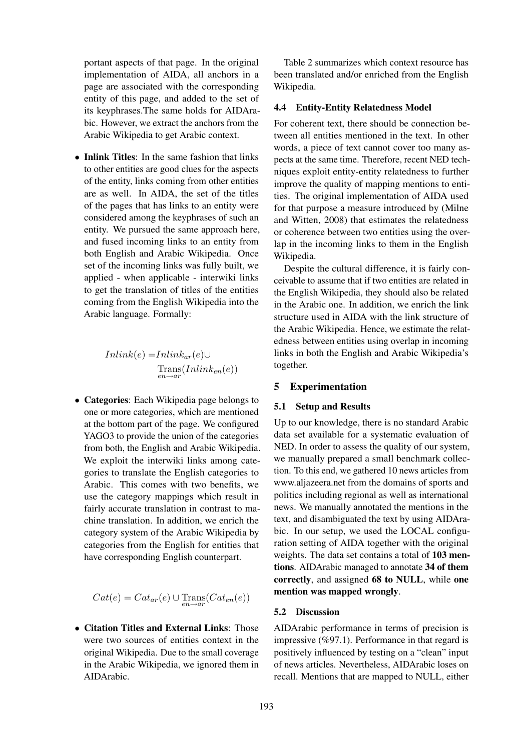portant aspects of that page. In the original implementation of AIDA, all anchors in a page are associated with the corresponding entity of this page, and added to the set of its keyphrases.The same holds for AIDArabic. However, we extract the anchors from the Arabic Wikipedia to get Arabic context.

• Inlink Titles: In the same fashion that links to other entities are good clues for the aspects of the entity, links coming from other entities are as well. In AIDA, the set of the titles of the pages that has links to an entity were considered among the keyphrases of such an entity. We pursued the same approach here, and fused incoming links to an entity from both English and Arabic Wikipedia. Once set of the incoming links was fully built, we applied - when applicable - interwiki links to get the translation of titles of the entities coming from the English Wikipedia into the Arabic language. Formally:

$$
Inlink(e) = Inlink_{ar}(e) \cup \underset{en \to ar}{\text{Trans}}(Inlink_{en}(e))
$$

• Categories: Each Wikipedia page belongs to one or more categories, which are mentioned at the bottom part of the page. We configured YAGO3 to provide the union of the categories from both, the English and Arabic Wikipedia. We exploit the interwiki links among categories to translate the English categories to Arabic. This comes with two benefits, we use the category mappings which result in fairly accurate translation in contrast to machine translation. In addition, we enrich the category system of the Arabic Wikipedia by categories from the English for entities that have corresponding English counterpart.

$$
Cat(e) = Cat_{ar}(e) \cup \text{Trans}(Cat_{en}(e))
$$

• Citation Titles and External Links: Those were two sources of entities context in the original Wikipedia. Due to the small coverage in the Arabic Wikipedia, we ignored them in AIDArabic.

Table 2 summarizes which context resource has been translated and/or enriched from the English Wikipedia.

#### 4.4 Entity-Entity Relatedness Model

For coherent text, there should be connection between all entities mentioned in the text. In other words, a piece of text cannot cover too many aspects at the same time. Therefore, recent NED techniques exploit entity-entity relatedness to further improve the quality of mapping mentions to entities. The original implementation of AIDA used for that purpose a measure introduced by (Milne and Witten, 2008) that estimates the relatedness or coherence between two entities using the overlap in the incoming links to them in the English Wikipedia.

Despite the cultural difference, it is fairly conceivable to assume that if two entities are related in the English Wikipedia, they should also be related in the Arabic one. In addition, we enrich the link structure used in AIDA with the link structure of the Arabic Wikipedia. Hence, we estimate the relatedness between entities using overlap in incoming links in both the English and Arabic Wikipedia's together.

#### 5 Experimentation

#### 5.1 Setup and Results

Up to our knowledge, there is no standard Arabic data set available for a systematic evaluation of NED. In order to assess the quality of our system, we manually prepared a small benchmark collection. To this end, we gathered 10 news articles from www.aljazeera.net from the domains of sports and politics including regional as well as international news. We manually annotated the mentions in the text, and disambiguated the text by using AIDArabic. In our setup, we used the LOCAL configuration setting of AIDA together with the original weights. The data set contains a total of 103 mentions. AIDArabic managed to annotate 34 of them correctly, and assigned 68 to NULL, while one mention was mapped wrongly.

#### 5.2 Discussion

AIDArabic performance in terms of precision is impressive (%97.1). Performance in that regard is positively influenced by testing on a "clean" input of news articles. Nevertheless, AIDArabic loses on recall. Mentions that are mapped to NULL, either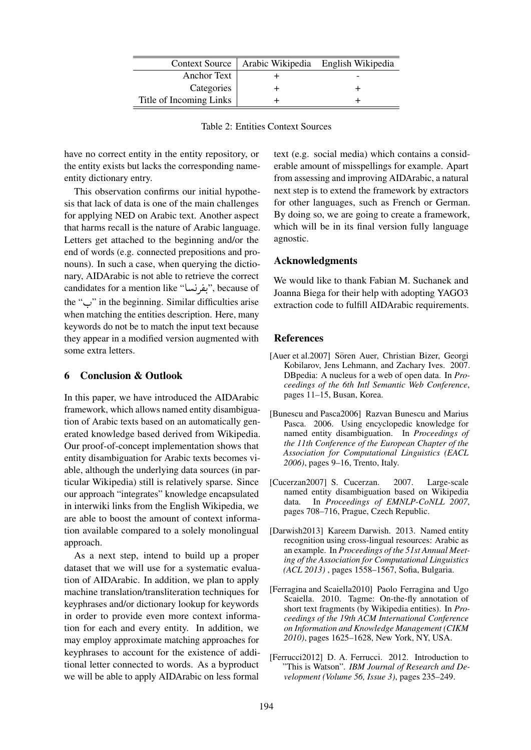|                         | Context Source   Arabic Wikipedia   English Wikipedia |  |
|-------------------------|-------------------------------------------------------|--|
| Anchor Text             |                                                       |  |
| Categories              |                                                       |  |
| Title of Incoming Links |                                                       |  |

Table 2: Entities Context Sources

have no correct entity in the entity repository, or the entity exists but lacks the corresponding nameentity dictionary entry.

This observation confirms our initial hypothesis that lack of data is one of the main challenges for applying NED on Arabic text. Another aspect that harms recall is the nature of Arabic language. Letters get attached to the beginning and/or the end of words (e.g. connected prepositions and pronouns). In such a case, when querying the dictionary, AIDArabic is not able to retrieve the correct nary, AIDArabic is not able to retrieve the correct<br>candidates for a mention like "بفرنسا", because of ֧֖֧֧֧֪֪֦֧֚֚֚֚֚֚֚֚֚֚֚֚֝֝֝֝֝֝֓֝֓֝֬֝֓֝֓֝֝֬֝֓ . the " $\vdots$ " in the beginning. Similar difficulties arise when matching the entities description. Here, many keywords do not be to match the input text because they appear in a modified version augmented with some extra letters.

## 6 Conclusion & Outlook

In this paper, we have introduced the AIDArabic framework, which allows named entity disambiguation of Arabic texts based on an automatically generated knowledge based derived from Wikipedia. Our proof-of-concept implementation shows that entity disambiguation for Arabic texts becomes viable, although the underlying data sources (in particular Wikipedia) still is relatively sparse. Since our approach "integrates" knowledge encapsulated in interwiki links from the English Wikipedia, we are able to boost the amount of context information available compared to a solely monolingual approach.

As a next step, intend to build up a proper dataset that we will use for a systematic evaluation of AIDArabic. In addition, we plan to apply machine translation/transliteration techniques for keyphrases and/or dictionary lookup for keywords in order to provide even more context information for each and every entity. In addition, we may employ approximate matching approaches for keyphrases to account for the existence of additional letter connected to words. As a byproduct we will be able to apply AIDArabic on less formal

text (e.g. social media) which contains a considerable amount of misspellings for example. Apart from assessing and improving AIDArabic, a natural next step is to extend the framework by extractors for other languages, such as French or German. By doing so, we are going to create a framework, which will be in its final version fully language agnostic.

## Acknowledgments

We would like to thank Fabian M. Suchanek and Joanna Biega for their help with adopting YAGO3 extraction code to fulfill AIDArabic requirements.

#### References

- [Auer et al.2007] Sören Auer, Christian Bizer, Georgi Kobilarov, Jens Lehmann, and Zachary Ives. 2007. DBpedia: A nucleus for a web of open data. In *Proceedings of the 6th Intl Semantic Web Conference*, pages 11–15, Busan, Korea.
- [Bunescu and Pasca2006] Razvan Bunescu and Marius Pasca. 2006. Using encyclopedic knowledge for named entity disambiguation. In *Proceedings of the 11th Conference of the European Chapter of the Association for Computational Linguistics (EACL 2006)*, pages 9–16, Trento, Italy.
- [Cucerzan2007] S. Cucerzan. 2007. Large-scale named entity disambiguation based on Wikipedia data. In *Proceedings of EMNLP-CoNLL 2007*, pages 708–716, Prague, Czech Republic.
- [Darwish2013] Kareem Darwish. 2013. Named entity recognition using cross-lingual resources: Arabic as an example. In *Proceedings of the 51st Annual Meeting of the Association for Computational Linguistics (ACL 2013)* , pages 1558–1567, Sofia, Bulgaria.
- [Ferragina and Scaiella2010] Paolo Ferragina and Ugo Scaiella. 2010. Tagme: On-the-fly annotation of short text fragments (by Wikipedia entities). In *Proceedings of the 19th ACM International Conference on Information and Knowledge Management (CIKM 2010)*, pages 1625–1628, New York, NY, USA.
- [Ferrucci2012] D. A. Ferrucci. 2012. Introduction to "This is Watson". *IBM Journal of Research and Development (Volume 56, Issue 3)*, pages 235–249.